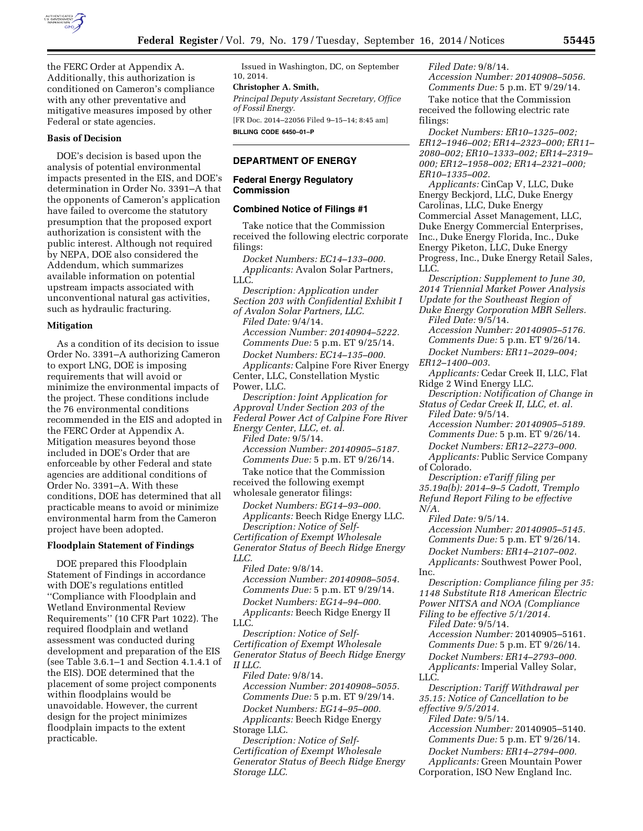

the FERC Order at Appendix A. Additionally, this authorization is conditioned on Cameron's compliance with any other preventative and mitigative measures imposed by other Federal or state agencies.

## **Basis of Decision**

DOE's decision is based upon the analysis of potential environmental impacts presented in the EIS, and DOE's determination in Order No. 3391–A that the opponents of Cameron's application have failed to overcome the statutory presumption that the proposed export authorization is consistent with the public interest. Although not required by NEPA, DOE also considered the Addendum, which summarizes available information on potential upstream impacts associated with unconventional natural gas activities, such as hydraulic fracturing.

#### **Mitigation**

As a condition of its decision to issue Order No. 3391–A authorizing Cameron to export LNG, DOE is imposing requirements that will avoid or minimize the environmental impacts of the project. These conditions include the 76 environmental conditions recommended in the EIS and adopted in the FERC Order at Appendix A. Mitigation measures beyond those included in DOE's Order that are enforceable by other Federal and state agencies are additional conditions of Order No. 3391–A. With these conditions, DOE has determined that all practicable means to avoid or minimize environmental harm from the Cameron project have been adopted.

### **Floodplain Statement of Findings**

DOE prepared this Floodplain Statement of Findings in accordance with DOE's regulations entitled ''Compliance with Floodplain and Wetland Environmental Review Requirements'' (10 CFR Part 1022). The required floodplain and wetland assessment was conducted during development and preparation of the EIS (see Table 3.6.1–1 and Section 4.1.4.1 of the EIS). DOE determined that the placement of some project components within floodplains would be unavoidable. However, the current design for the project minimizes floodplain impacts to the extent practicable.

Issued in Washington, DC, on September 10, 2014.

## **Christopher A. Smith,**

*Principal Deputy Assistant Secretary, Office of Fossil Energy.*  [FR Doc. 2014–22056 Filed 9–15–14; 8:45 am]

**BILLING CODE 6450–01–P** 

# **DEPARTMENT OF ENERGY**

### **Federal Energy Regulatory Commission**

#### **Combined Notice of Filings #1**

Take notice that the Commission received the following electric corporate filings:

*Docket Numbers: EC14–133–000. Applicants:* Avalon Solar Partners, LLC.

*Description: Application under Section 203 with Confidential Exhibit I of Avalon Solar Partners, LLC.* 

*Filed Date:* 9/4/14. *Accession Number: 20140904–5222. Comments Due:* 5 p.m. ET 9/25/14. *Docket Numbers: EC14–135–000.* 

*Applicants:* Calpine Fore River Energy Center, LLC, Constellation Mystic Power, LLC.

*Description: Joint Application for Approval Under Section 203 of the Federal Power Act of Calpine Fore River Energy Center, LLC, et. al. Filed Date:* 9/5/14. *Accession Number: 20140905–5187.* 

*Comments Due:* 5 p.m. ET 9/26/14. Take notice that the Commission

received the following exempt wholesale generator filings:

*Docket Numbers: EG14–93–000. Applicants:* Beech Ridge Energy LLC. *Description: Notice of Self-Certification of Exempt Wholesale Generator Status of Beech Ridge Energy LLC.* 

*Filed Date:* 9/8/14. *Accession Number: 20140908–5054. Comments Due:* 5 p.m. ET 9/29/14. *Docket Numbers: EG14–94–000. Applicants:* Beech Ridge Energy II LLC.

*Description: Notice of Self-Certification of Exempt Wholesale Generator Status of Beech Ridge Energy II LLC.* 

*Filed Date:* 9/8/14. *Accession Number: 20140908–5055. Comments Due:* 5 p.m. ET 9/29/14. *Docket Numbers: EG14–95–000.* 

*Applicants:* Beech Ridge Energy Storage LLC.

*Description: Notice of Self-Certification of Exempt Wholesale Generator Status of Beech Ridge Energy Storage LLC.* 

*Filed Date:* 9/8/14. *Accession Number: 20140908–5056. Comments Due:* 5 p.m. ET 9/29/14. Take notice that the Commission received the following electric rate filings:

*Docket Numbers: ER10–1325–002; ER12–1946–002; ER14–2323–000; ER11– 2080–002; ER10–1333–002; ER14–2319– 000; ER12–1958–002; ER14–2321–000; ER10–1335–002*.

*Applicants:* CinCap V, LLC, Duke Energy Beckjord, LLC, Duke Energy Carolinas, LLC, Duke Energy Commercial Asset Management, LLC, Duke Energy Commercial Enterprises, Inc., Duke Energy Florida, Inc., Duke Energy Piketon, LLC, Duke Energy Progress, Inc., Duke Energy Retail Sales, LLC.

*Description: Supplement to June 30, 2014 Triennial Market Power Analysis Update for the Southeast Region of Duke Energy Corporation MBR Sellers. Filed Date:* 9/5/14.

*Accession Number: 20140905–5176. Comments Due:* 5 p.m. ET 9/26/14.

*Docket Numbers: ER11–2029–004; ER12–1400–003*.

*Applicants:* Cedar Creek II, LLC, Flat Ridge 2 Wind Energy LLC.

*Description: Notification of Change in Status of Cedar Creek II, LLC, et. al.* 

*Filed Date:* 9/5/14. *Accession Number: 20140905–5189.* 

*Comments Due:* 5 p.m. ET 9/26/14.

*Docket Numbers: ER12–2273–000. Applicants:* Public Service Company

of Colorado.

*Description: eTariff filing per 35.19a(b): 2014–9–5 Cadott, Tremplo Refund Report Filing to be effective N/A.* 

*Filed Date:* 9/5/14. *Accession Number: 20140905–5145. Comments Due:* 5 p.m. ET 9/26/14. *Docket Numbers: ER14–2107–002.* 

*Applicants:* Southwest Power Pool, Inc.

*Description: Compliance filing per 35: 1148 Substitute R18 American Electric Power NITSA and NOA (Compliance Filing to be effective 5/1/2014.* 

*Filed Date:* 9/5/14.

*Accession Number:* 20140905–5161. *Comments Due:* 5 p.m. ET 9/26/14. *Docket Numbers: ER14–2793–000.* 

*Applicants:* Imperial Valley Solar, LLC.

*Description: Tariff Withdrawal per 35.15: Notice of Cancellation to be effective 9/5/2014.* 

*Filed Date:* 9/5/14. *Accession Number:* 20140905–5140. *Comments Due:* 5 p.m. ET 9/26/14.

*Docket Numbers: ER14–2794–000. Applicants:* Green Mountain Power

Corporation, ISO New England Inc.